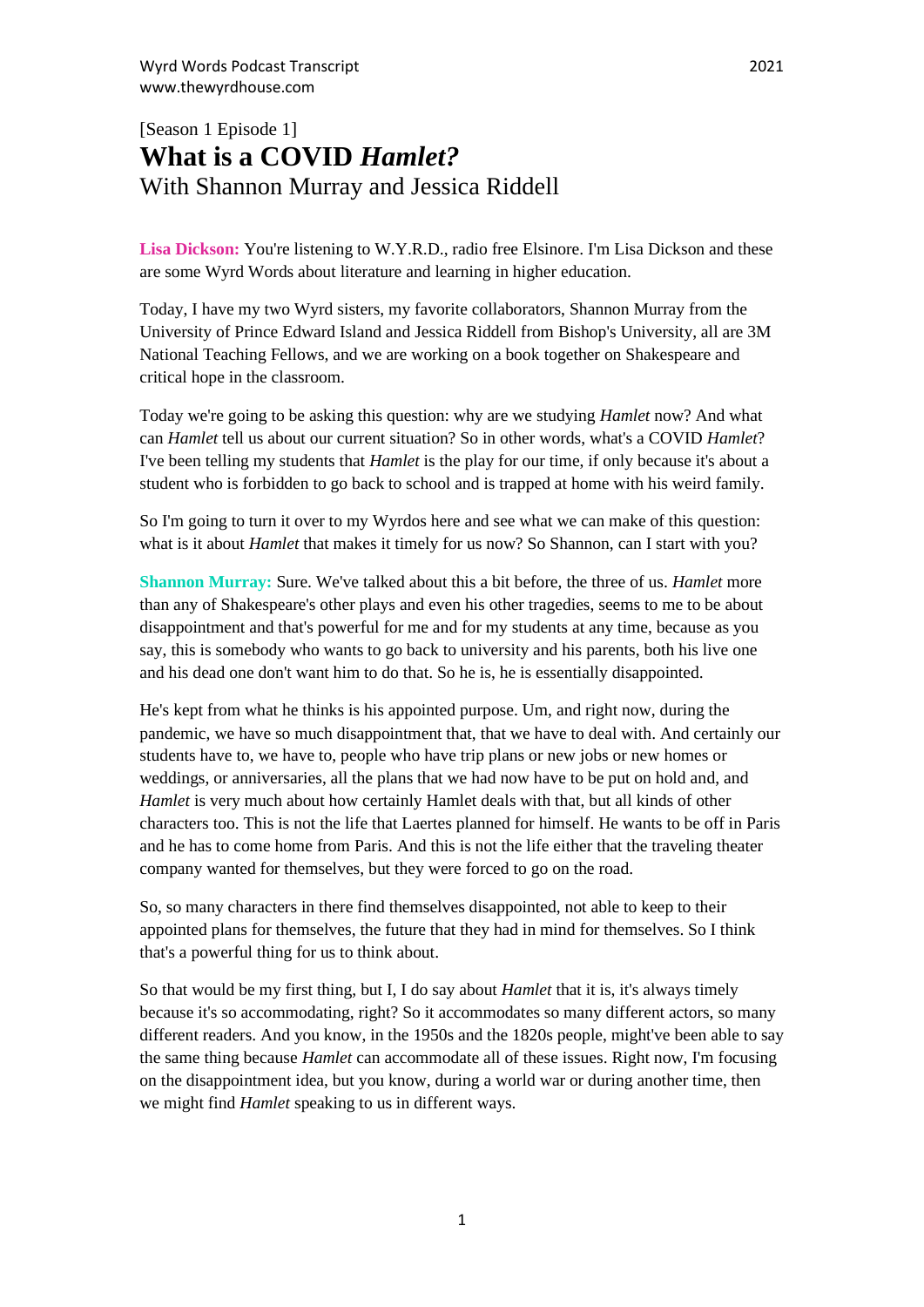## [Season 1 Episode 1] **What is a COVID** *Hamlet?* With Shannon Murray and Jessica Riddell

Lisa Dickson: You're listening to W.Y.R.D., radio free Elsinore. I'm Lisa Dickson and these are some Wyrd Words about literature and learning in higher education.

Today, I have my two Wyrd sisters, my favorite collaborators, Shannon Murray from the University of Prince Edward Island and Jessica Riddell from Bishop's University, all are 3M National Teaching Fellows, and we are working on a book together on Shakespeare and critical hope in the classroom.

Today we're going to be asking this question: why are we studying *Hamlet* now? And what can *Hamlet* tell us about our current situation? So in other words, what's a COVID *Hamlet*? I've been telling my students that *Hamlet* is the play for our time, if only because it's about a student who is forbidden to go back to school and is trapped at home with his weird family.

So I'm going to turn it over to my Wyrdos here and see what we can make of this question: what is it about *Hamlet* that makes it timely for us now? So Shannon, can I start with you?

**Shannon Murray:** Sure. We've talked about this a bit before, the three of us. *Hamlet* more than any of Shakespeare's other plays and even his other tragedies, seems to me to be about disappointment and that's powerful for me and for my students at any time, because as you say, this is somebody who wants to go back to university and his parents, both his live one and his dead one don't want him to do that. So he is, he is essentially disappointed.

He's kept from what he thinks is his appointed purpose. Um, and right now, during the pandemic, we have so much disappointment that, that we have to deal with. And certainly our students have to, we have to, people who have trip plans or new jobs or new homes or weddings, or anniversaries, all the plans that we had now have to be put on hold and, and *Hamlet* is very much about how certainly Hamlet deals with that, but all kinds of other characters too. This is not the life that Laertes planned for himself. He wants to be off in Paris and he has to come home from Paris. And this is not the life either that the traveling theater company wanted for themselves, but they were forced to go on the road.

So, so many characters in there find themselves disappointed, not able to keep to their appointed plans for themselves, the future that they had in mind for themselves. So I think that's a powerful thing for us to think about.

So that would be my first thing, but I, I do say about *Hamlet* that it is, it's always timely because it's so accommodating, right? So it accommodates so many different actors, so many different readers. And you know, in the 1950s and the 1820s people, might've been able to say the same thing because *Hamlet* can accommodate all of these issues. Right now, I'm focusing on the disappointment idea, but you know, during a world war or during another time, then we might find *Hamlet* speaking to us in different ways.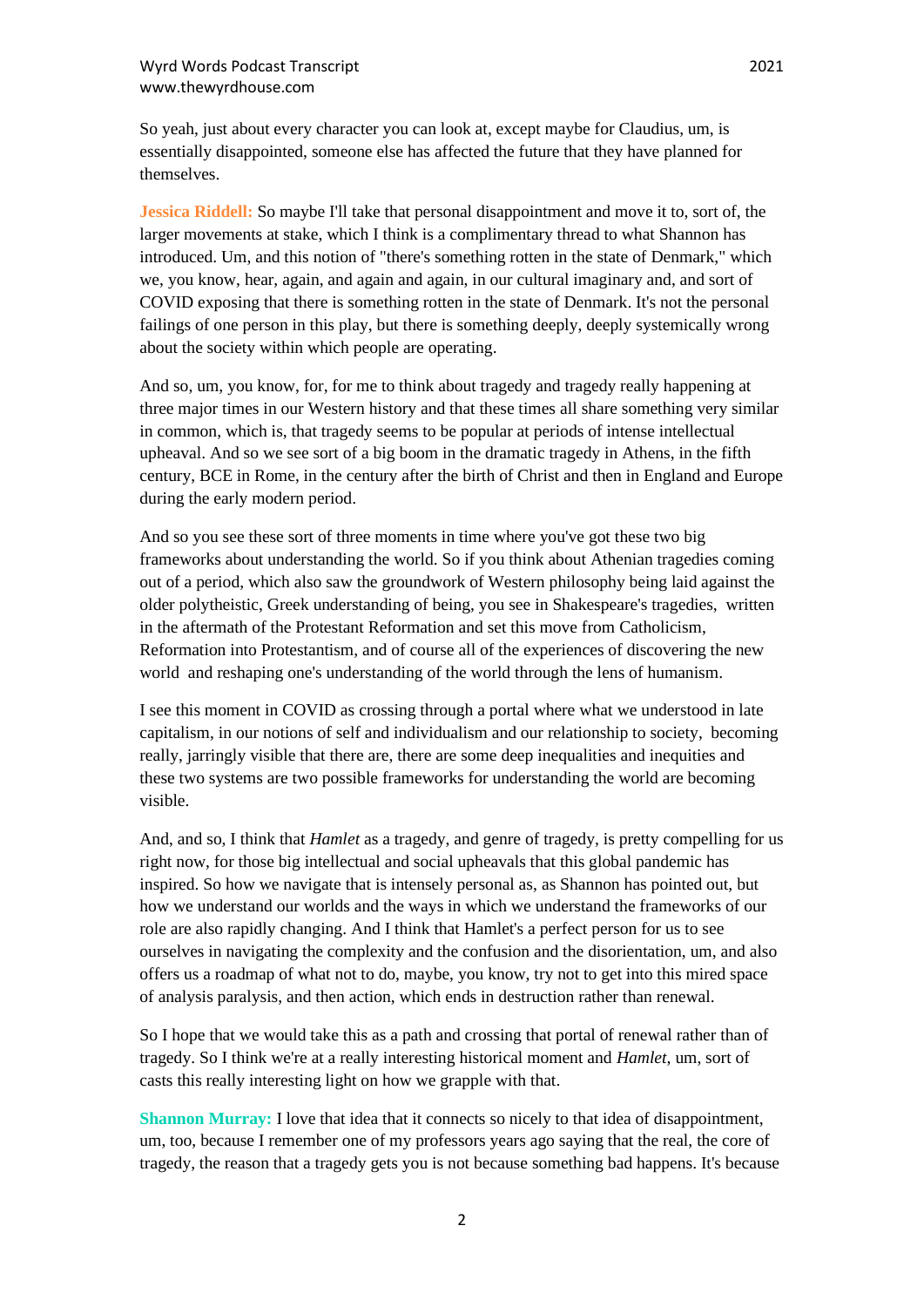So yeah, just about every character you can look at, except maybe for Claudius, um, is essentially disappointed, someone else has affected the future that they have planned for themselves.

**Jessica Riddell:** So maybe I'll take that personal disappointment and move it to, sort of, the larger movements at stake, which I think is a complimentary thread to what Shannon has introduced. Um, and this notion of "there's something rotten in the state of Denmark," which we, you know, hear, again, and again and again, in our cultural imaginary and, and sort of COVID exposing that there is something rotten in the state of Denmark. It's not the personal failings of one person in this play, but there is something deeply, deeply systemically wrong about the society within which people are operating.

And so, um, you know, for, for me to think about tragedy and tragedy really happening at three major times in our Western history and that these times all share something very similar in common, which is, that tragedy seems to be popular at periods of intense intellectual upheaval. And so we see sort of a big boom in the dramatic tragedy in Athens, in the fifth century, BCE in Rome, in the century after the birth of Christ and then in England and Europe during the early modern period.

And so you see these sort of three moments in time where you've got these two big frameworks about understanding the world. So if you think about Athenian tragedies coming out of a period, which also saw the groundwork of Western philosophy being laid against the older polytheistic, Greek understanding of being, you see in Shakespeare's tragedies, written in the aftermath of the Protestant Reformation and set this move from Catholicism, Reformation into Protestantism, and of course all of the experiences of discovering the new world and reshaping one's understanding of the world through the lens of humanism.

I see this moment in COVID as crossing through a portal where what we understood in late capitalism, in our notions of self and individualism and our relationship to society, becoming really, jarringly visible that there are, there are some deep inequalities and inequities and these two systems are two possible frameworks for understanding the world are becoming visible.

And, and so, I think that *Hamlet* as a tragedy, and genre of tragedy, is pretty compelling for us right now, for those big intellectual and social upheavals that this global pandemic has inspired. So how we navigate that is intensely personal as, as Shannon has pointed out, but how we understand our worlds and the ways in which we understand the frameworks of our role are also rapidly changing. And I think that Hamlet's a perfect person for us to see ourselves in navigating the complexity and the confusion and the disorientation, um, and also offers us a roadmap of what not to do, maybe, you know, try not to get into this mired space of analysis paralysis, and then action, which ends in destruction rather than renewal.

So I hope that we would take this as a path and crossing that portal of renewal rather than of tragedy. So I think we're at a really interesting historical moment and *Hamlet*, um, sort of casts this really interesting light on how we grapple with that.

**Shannon Murray:** I love that idea that it connects so nicely to that idea of disappointment, um, too, because I remember one of my professors years ago saying that the real, the core of tragedy, the reason that a tragedy gets you is not because something bad happens. It's because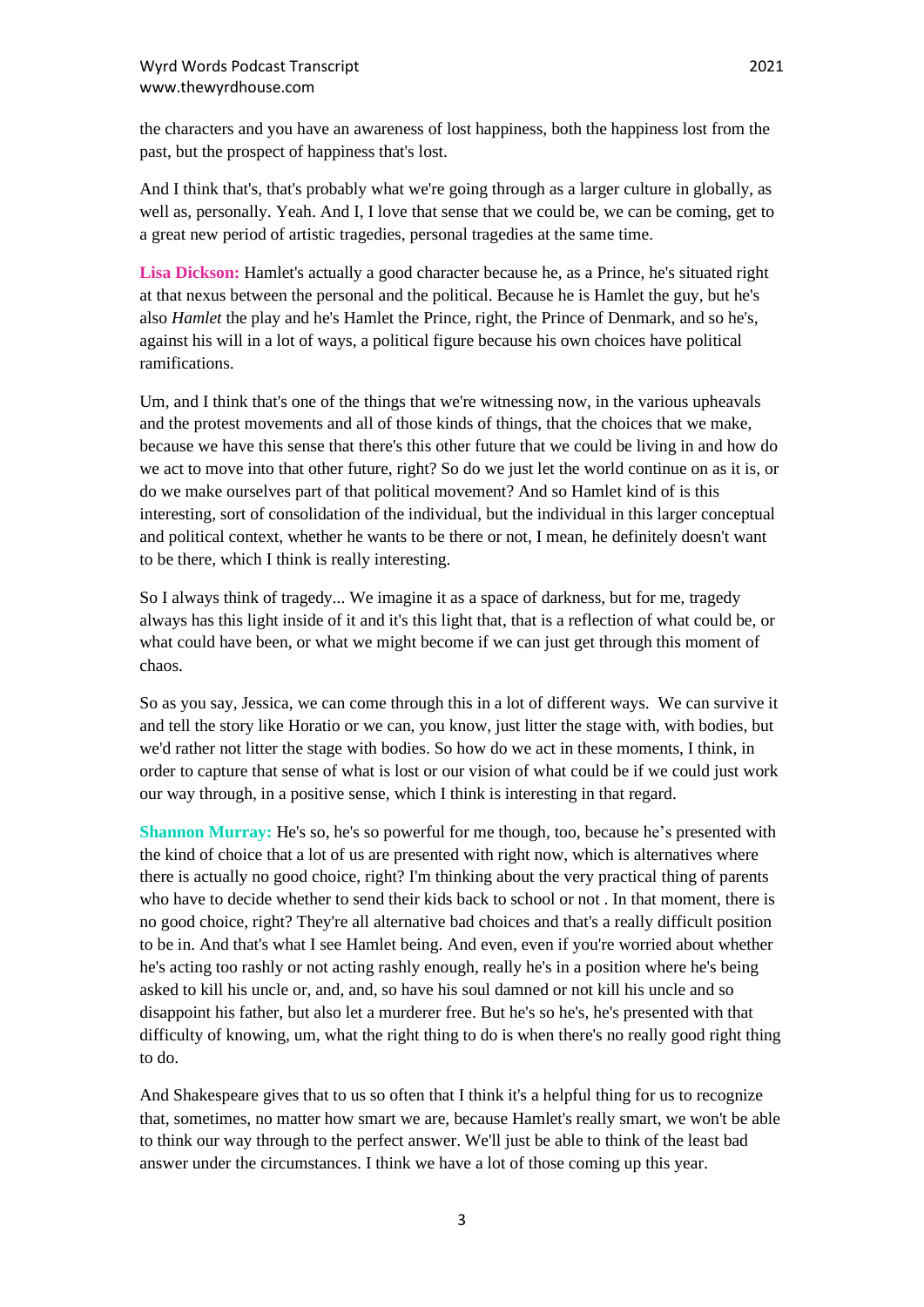the characters and you have an awareness of lost happiness, both the happiness lost from the past, but the prospect of happiness that's lost.

And I think that's, that's probably what we're going through as a larger culture in globally, as well as, personally. Yeah. And I, I love that sense that we could be, we can be coming, get to a great new period of artistic tragedies, personal tragedies at the same time.

**Lisa Dickson:** Hamlet's actually a good character because he, as a Prince, he's situated right at that nexus between the personal and the political. Because he is Hamlet the guy, but he's also *Hamlet* the play and he's Hamlet the Prince, right, the Prince of Denmark, and so he's, against his will in a lot of ways, a political figure because his own choices have political ramifications.

Um, and I think that's one of the things that we're witnessing now, in the various upheavals and the protest movements and all of those kinds of things, that the choices that we make, because we have this sense that there's this other future that we could be living in and how do we act to move into that other future, right? So do we just let the world continue on as it is, or do we make ourselves part of that political movement? And so Hamlet kind of is this interesting, sort of consolidation of the individual, but the individual in this larger conceptual and political context, whether he wants to be there or not, I mean, he definitely doesn't want to be there, which I think is really interesting.

So I always think of tragedy... We imagine it as a space of darkness, but for me, tragedy always has this light inside of it and it's this light that, that is a reflection of what could be, or what could have been, or what we might become if we can just get through this moment of chaos.

So as you say, Jessica, we can come through this in a lot of different ways. We can survive it and tell the story like Horatio or we can, you know, just litter the stage with, with bodies, but we'd rather not litter the stage with bodies. So how do we act in these moments, I think, in order to capture that sense of what is lost or our vision of what could be if we could just work our way through, in a positive sense, which I think is interesting in that regard.

**Shannon Murray:** He's so, he's so powerful for me though, too, because he's presented with the kind of choice that a lot of us are presented with right now, which is alternatives where there is actually no good choice, right? I'm thinking about the very practical thing of parents who have to decide whether to send their kids back to school or not . In that moment, there is no good choice, right? They're all alternative bad choices and that's a really difficult position to be in. And that's what I see Hamlet being. And even, even if you're worried about whether he's acting too rashly or not acting rashly enough, really he's in a position where he's being asked to kill his uncle or, and, and, so have his soul damned or not kill his uncle and so disappoint his father, but also let a murderer free. But he's so he's, he's presented with that difficulty of knowing, um, what the right thing to do is when there's no really good right thing to do.

And Shakespeare gives that to us so often that I think it's a helpful thing for us to recognize that, sometimes, no matter how smart we are, because Hamlet's really smart, we won't be able to think our way through to the perfect answer. We'll just be able to think of the least bad answer under the circumstances. I think we have a lot of those coming up this year.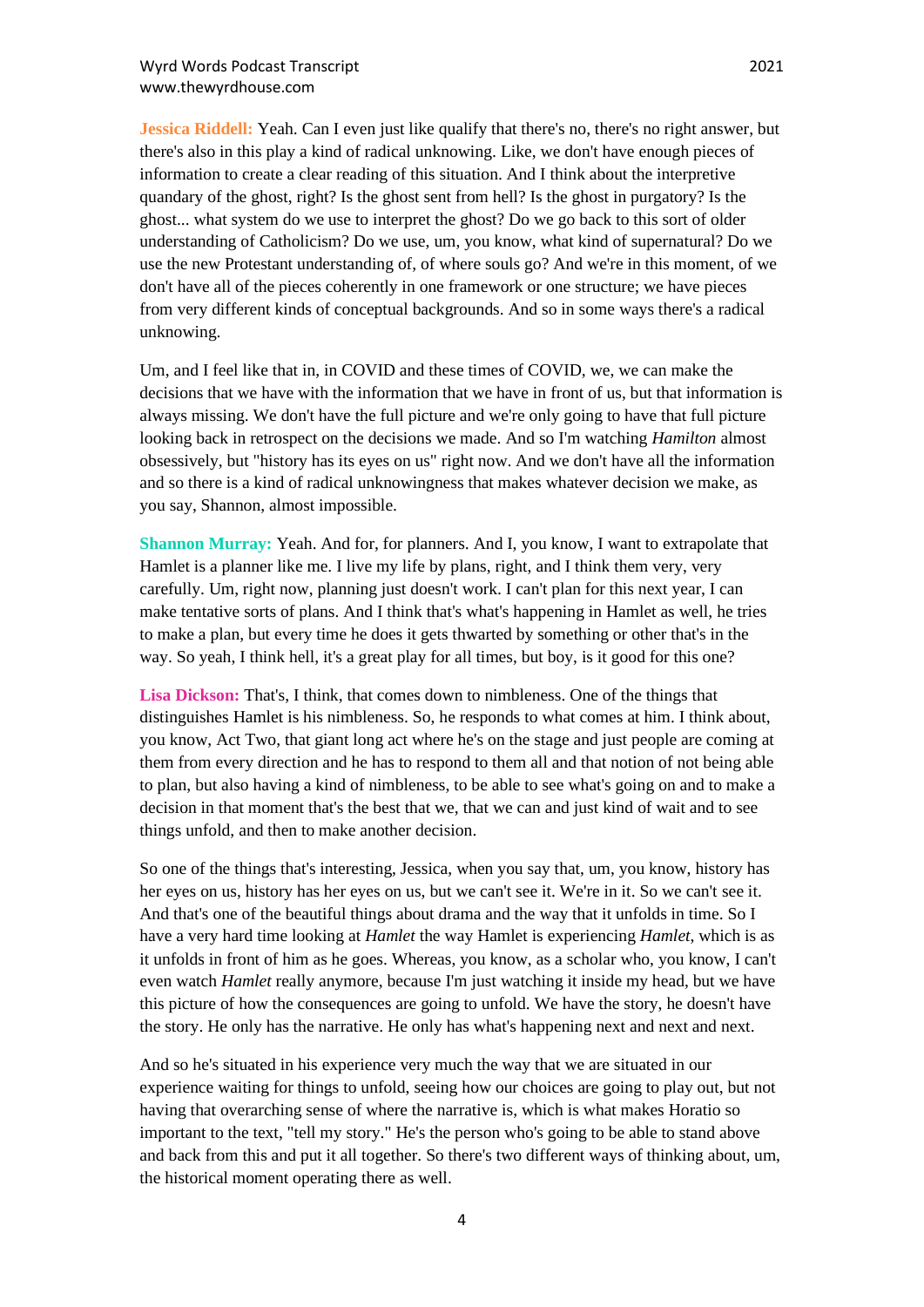**Jessica Riddell:** Yeah. Can I even just like qualify that there's no, there's no right answer, but there's also in this play a kind of radical unknowing. Like, we don't have enough pieces of information to create a clear reading of this situation. And I think about the interpretive quandary of the ghost, right? Is the ghost sent from hell? Is the ghost in purgatory? Is the ghost... what system do we use to interpret the ghost? Do we go back to this sort of older understanding of Catholicism? Do we use, um, you know, what kind of supernatural? Do we use the new Protestant understanding of, of where souls go? And we're in this moment, of we don't have all of the pieces coherently in one framework or one structure; we have pieces from very different kinds of conceptual backgrounds. And so in some ways there's a radical unknowing.

Um, and I feel like that in, in COVID and these times of COVID, we, we can make the decisions that we have with the information that we have in front of us, but that information is always missing. We don't have the full picture and we're only going to have that full picture looking back in retrospect on the decisions we made. And so I'm watching *Hamilton* almost obsessively, but "history has its eyes on us" right now. And we don't have all the information and so there is a kind of radical unknowingness that makes whatever decision we make, as you say, Shannon, almost impossible.

**Shannon Murray:** Yeah. And for, for planners. And I, you know, I want to extrapolate that Hamlet is a planner like me. I live my life by plans, right, and I think them very, very carefully. Um, right now, planning just doesn't work. I can't plan for this next year, I can make tentative sorts of plans. And I think that's what's happening in Hamlet as well, he tries to make a plan, but every time he does it gets thwarted by something or other that's in the way. So yeah, I think hell, it's a great play for all times, but boy, is it good for this one?

**Lisa Dickson:** That's, I think, that comes down to nimbleness. One of the things that distinguishes Hamlet is his nimbleness. So, he responds to what comes at him. I think about, you know, Act Two, that giant long act where he's on the stage and just people are coming at them from every direction and he has to respond to them all and that notion of not being able to plan, but also having a kind of nimbleness, to be able to see what's going on and to make a decision in that moment that's the best that we, that we can and just kind of wait and to see things unfold, and then to make another decision.

So one of the things that's interesting, Jessica, when you say that, um, you know, history has her eyes on us, history has her eyes on us, but we can't see it. We're in it. So we can't see it. And that's one of the beautiful things about drama and the way that it unfolds in time. So I have a very hard time looking at *Hamlet* the way Hamlet is experiencing *Hamlet*, which is as it unfolds in front of him as he goes. Whereas, you know, as a scholar who, you know, I can't even watch *Hamlet* really anymore, because I'm just watching it inside my head, but we have this picture of how the consequences are going to unfold. We have the story, he doesn't have the story. He only has the narrative. He only has what's happening next and next and next.

And so he's situated in his experience very much the way that we are situated in our experience waiting for things to unfold, seeing how our choices are going to play out, but not having that overarching sense of where the narrative is, which is what makes Horatio so important to the text, "tell my story." He's the person who's going to be able to stand above and back from this and put it all together. So there's two different ways of thinking about, um, the historical moment operating there as well.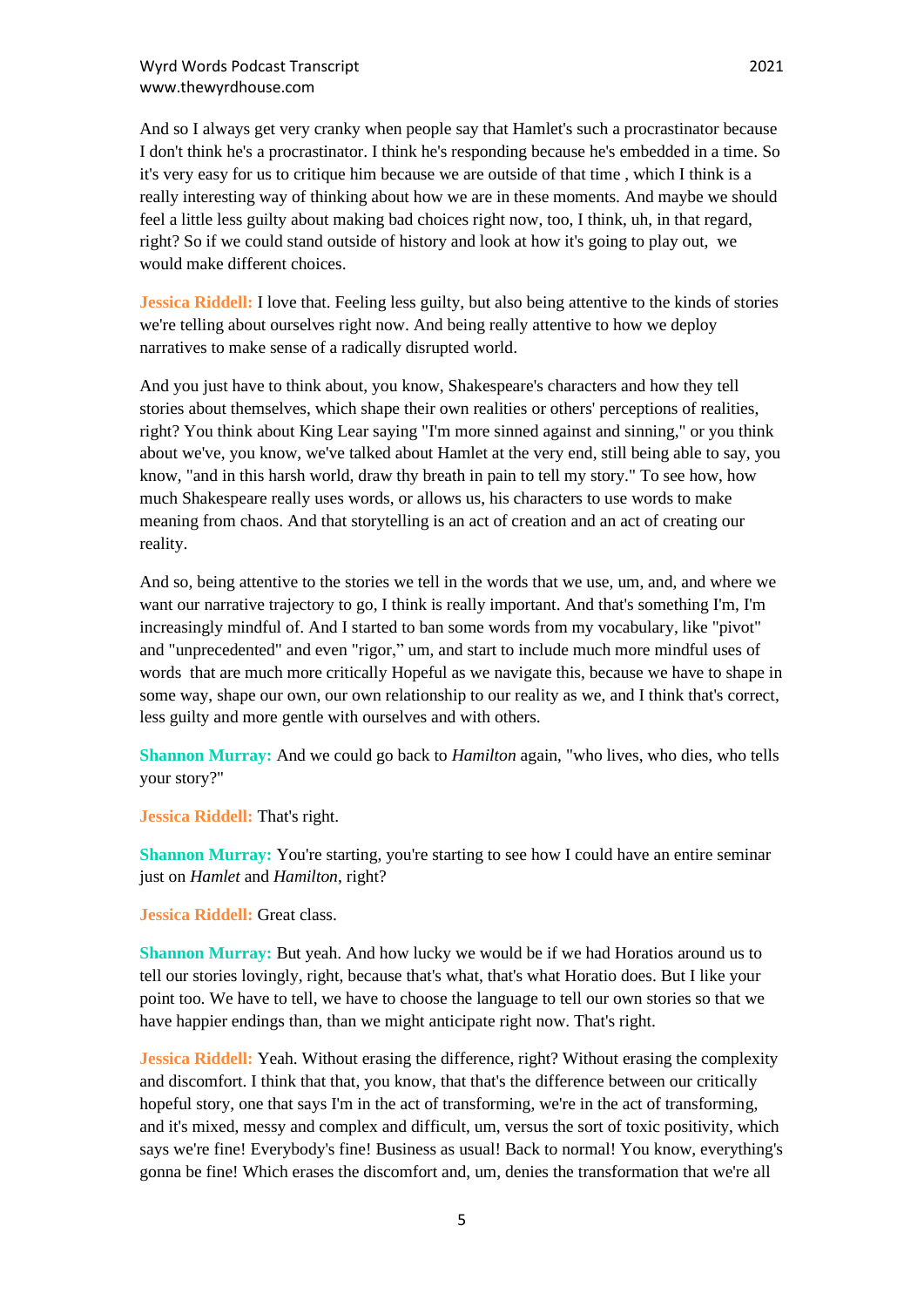And so I always get very cranky when people say that Hamlet's such a procrastinator because I don't think he's a procrastinator. I think he's responding because he's embedded in a time. So it's very easy for us to critique him because we are outside of that time , which I think is a really interesting way of thinking about how we are in these moments. And maybe we should feel a little less guilty about making bad choices right now, too, I think, uh, in that regard, right? So if we could stand outside of history and look at how it's going to play out, we would make different choices.

**Jessica Riddell:** I love that. Feeling less guilty, but also being attentive to the kinds of stories we're telling about ourselves right now. And being really attentive to how we deploy narratives to make sense of a radically disrupted world.

And you just have to think about, you know, Shakespeare's characters and how they tell stories about themselves, which shape their own realities or others' perceptions of realities, right? You think about King Lear saying "I'm more sinned against and sinning," or you think about we've, you know, we've talked about Hamlet at the very end, still being able to say, you know, "and in this harsh world, draw thy breath in pain to tell my story." To see how, how much Shakespeare really uses words, or allows us, his characters to use words to make meaning from chaos. And that storytelling is an act of creation and an act of creating our reality.

And so, being attentive to the stories we tell in the words that we use, um, and, and where we want our narrative trajectory to go, I think is really important. And that's something I'm, I'm increasingly mindful of. And I started to ban some words from my vocabulary, like "pivot" and "unprecedented" and even "rigor," um, and start to include much more mindful uses of words that are much more critically Hopeful as we navigate this, because we have to shape in some way, shape our own, our own relationship to our reality as we, and I think that's correct, less guilty and more gentle with ourselves and with others.

**Shannon Murray:** And we could go back to *Hamilton* again, "who lives, who dies, who tells your story?"

**Jessica Riddell:** That's right.

**Shannon Murray:** You're starting, you're starting to see how I could have an entire seminar just on *Hamlet* and *Hamilton*, right?

**Jessica Riddell:** Great class.

**Shannon Murray:** But yeah. And how lucky we would be if we had Horatios around us to tell our stories lovingly, right, because that's what, that's what Horatio does. But I like your point too. We have to tell, we have to choose the language to tell our own stories so that we have happier endings than, than we might anticipate right now. That's right.

**Jessica Riddell:** Yeah. Without erasing the difference, right? Without erasing the complexity and discomfort. I think that that, you know, that that's the difference between our critically hopeful story, one that says I'm in the act of transforming, we're in the act of transforming, and it's mixed, messy and complex and difficult, um, versus the sort of toxic positivity, which says we're fine! Everybody's fine! Business as usual! Back to normal! You know, everything's gonna be fine! Which erases the discomfort and, um, denies the transformation that we're all